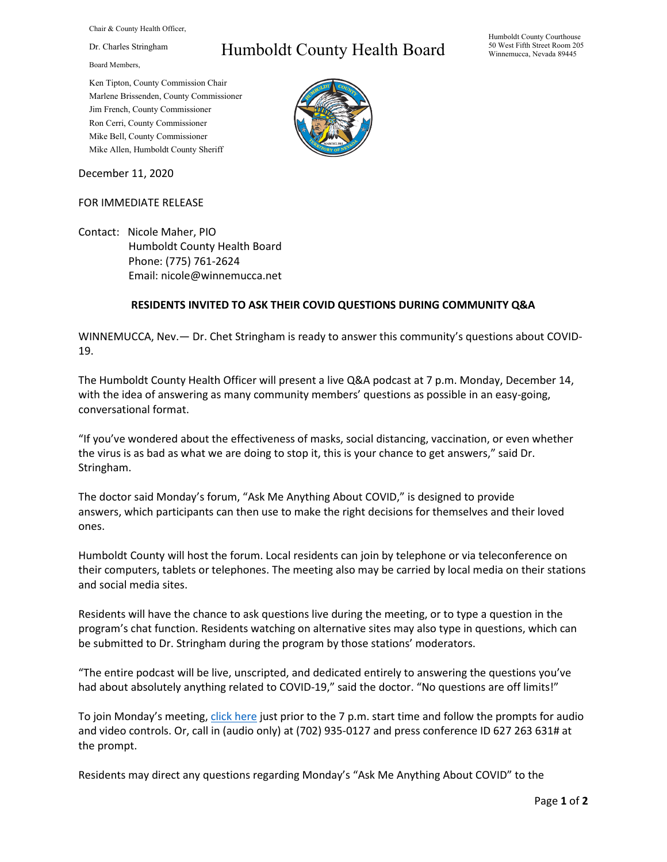Chair & County Health Officer,

Dr. Charles Stringham

Board Members,

## Humboldt County Health Board

Humboldt County Courthouse 50 West Fifth Street Room 205 Winnemucca, Nevada 89445

Ken Tipton, County Commission Chair Marlene Brissenden, County Commissioner Jim French, County Commissioner Ron Cerri, County Commissioner Mike Bell, County Commissioner Mike Allen, Humboldt County Sheriff

December 11, 2020

## FOR IMMEDIATE RELEASE

Contact: Nicole Maher, PIO Humboldt County Health Board Phone: (775) 761-2624 Email: nicole@winnemucca.net

## **RESIDENTS INVITED TO ASK THEIR COVID QUESTIONS DURING COMMUNITY Q&A**

WINNEMUCCA, Nev.— Dr. Chet Stringham is ready to answer this community's questions about COVID-19.

The Humboldt County Health Officer will present a live Q&A podcast at 7 p.m. Monday, December 14, with the idea of answering as many community members' questions as possible in an easy-going, conversational format.

"If you've wondered about the effectiveness of masks, social distancing, vaccination, or even whether the virus is as bad as what we are doing to stop it, this is your chance to get answers," said Dr. Stringham.

The doctor said Monday's forum, "Ask Me Anything About COVID," is designed to provide answers, which participants can then use to make the right decisions for themselves and their loved ones.

Humboldt County will host the forum. Local residents can join by telephone or via teleconference on their computers, tablets or telephones. The meeting also may be carried by local media on their stations and social media sites.

Residents will have the chance to ask questions live during the meeting, or to type a question in the program's chat function. Residents watching on alternative sites may also type in questions, which can be submitted to Dr. Stringham during the program by those stations' moderators.

"The entire podcast will be live, unscripted, and dedicated entirely to answering the questions you've had about absolutely anything related to COVID-19," said the doctor. "No questions are off limits!"

To join Monday's meeting[, click here](https://teams.microsoft.com/l/meetup-join/19%3ameeting_N2NjZTk2NzYtNTM1Yy00NDBjLTgwMTItYTg0NDg2ZTlhODI0%40thread.v2/0?context=%7b%22Tid%22%3a%221f916fc9-42a5-4df4-aa73-a286ee089776%22%2c%22Oid%22%3a%221e10c4e8-675f-4494-97ed-4c4c4fd69453%22%7d) just prior to the 7 p.m. start time and follow the prompts for audio and video controls. Or, call in (audio only) at (702) 935-0127 and press conference ID 627 263 631# at the prompt.

Residents may direct any questions regarding Monday's "Ask Me Anything About COVID" to the